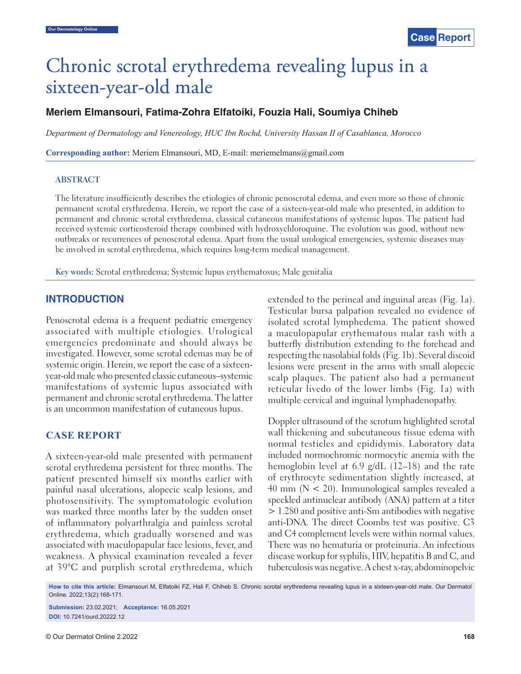# Chronic scrotal erythredema revealing lupus in a sixteen-year-old male

# **Meriem Elmansouri, Fatima-Zohra Elfatoiki, Fouzia Hali, Soumiya Chiheb**

*Department of Dermatology and Venereology, HUC Ibn Rochd, University Hassan II of Casablanca, Morocco*

**Corresponding author:** Meriem Elmansouri, MD, E-mail: meriemelmans@gmail.com

#### **ABSTRACT**

The literature insufficiently describes the etiologies of chronic penoscrotal edema, and even more so those of chronic permanent scrotal erythredema. Herein, we report the case of a sixteen-year-old male who presented, in addition to permanent and chronic scrotal erythredema, classical cutaneous manifestations of systemic lupus. The patient had received systemic corticosteroid therapy combined with hydroxychloroquine. The evolution was good, without new outbreaks or recurrences of penoscrotal edema. Apart from the usual urological emergencies, systemic diseases may be involved in scrotal erythredema, which requires long-term medical management.

**Key words:** Scrotal erythredema; Systemic lupus erythematosus; Male genitalia

# **INTRODUCTION**

Penoscrotal edema is a frequent pediatric emergency associated with multiple etiologies. Urological emergencies predominate and should always be investigated. However, some scrotal edemas may be of systemic origin. Herein, we report the case of a sixteenyear-old male who presented classic cutaneous–systemic manifestations of systemic lupus associated with permanent and chronic scrotal erythredema. The latter is an uncommon manifestation of cutaneous lupus.

# **CASE REPORT**

A sixteen-year-old male presented with permanent scrotal erythredema persistent for three months. The patient presented himself six months earlier with painful nasal ulcerations, alopecic scalp lesions, and photosensitivity. The symptomatologic evolution was marked three months later by the sudden onset of inflammatory polyarthralgia and painless scrotal erythredema, which gradually worsened and was associated with maculopapular face lesions, fever, and weakness. A physical examination revealed a fever at 39°C and purplish scrotal erythredema, which extended to the perineal and inguinal areas (Fig. 1a). Testicular bursa palpation revealed no evidence of isolated scrotal lymphedema. The patient showed a maculopapular erythematous malar rash with a butterfly distribution extending to the forehead and respecting the nasolabial folds (Fig. 1b). Several discoid lesions were present in the arms with small alopecic scalp plaques. The patient also had a permanent reticular livedo of the lower limbs (Fig. 1a) with multiple cervical and inguinal lymphadenopathy.

Doppler ultrasound of the scrotum highlighted scrotal wall thickening and subcutaneous tissue edema with normal testicles and epididymis. Laboratory data included normochromic normocytic anemia with the hemoglobin level at 6.9 g/dL (12–18) and the rate of erythrocyte sedimentation slightly increased, at  $40$  mm ( $N < 20$ ). Immunological samples revealed a speckled antinuclear antibody (ANA) pattern at a titer > 1.280 and positive anti-Sm antibodies with negative anti-DNA. The direct Coombs test was positive. C3 and C4 complement levels were within normal values. There was no hematuria or proteinuria. An infectious disease workup for syphilis, HIV, hepatitis B and C, and tuberculosis was negative. A chest x-ray, abdominopelvic

**How to cite this article:** Elmansouri M, Elfatoiki FZ, Hali F, Chiheb S. Chronic scrotal erythredema revealing lupus in a sixteen-year-old male. Our Dermatol Online. 2022;13(2):168-171.

**Submission:** 23.02.2021; **Acceptance:** 16.05.2021 **DOI:** 10.7241/ourd.20222.12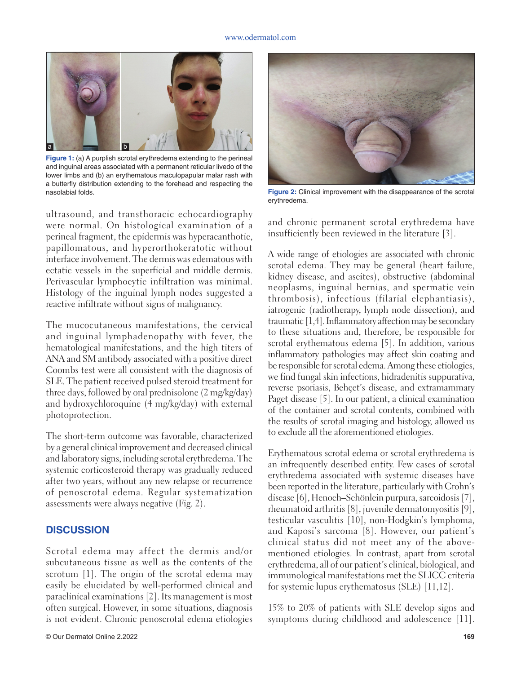#### www.odermatol.com



**Figure 1:** (a) A purplish scrotal erythredema extending to the perineal and inguinal areas associated with a permanent reticular livedo of the lower limbs and (b) an erythematous maculopapular malar rash with a butterfly distribution extending to the forehead and respecting the nasolabial folds.

ultrasound, and transthoracic echocardiography were normal. On histological examination of a perineal fragment, the epidermis was hyperacanthotic, papillomatous, and hyperorthokeratotic without interface involvement. The dermis was edematous with ectatic vessels in the superficial and middle dermis. Perivascular lymphocytic infiltration was minimal. Histology of the inguinal lymph nodes suggested a reactive infiltrate without signs of malignancy.

The mucocutaneous manifestations, the cervical and inguinal lymphadenopathy with fever, the hematological manifestations, and the high titers of ANA and SM antibody associated with a positive direct Coombs test were all consistent with the diagnosis of SLE. The patient received pulsed steroid treatment for three days, followed by oral prednisolone (2 mg/kg/day) and hydroxychloroquine (4 mg/kg/day) with external photoprotection.

The short-term outcome was favorable, characterized by a general clinical improvement and decreased clinical and laboratory signs, including scrotal erythredema. The systemic corticosteroid therapy was gradually reduced after two years, without any new relapse or recurrence of penoscrotal edema. Regular systematization assessments were always negative (Fig. 2).

# **DISCUSSION**

Scrotal edema may affect the dermis and/or subcutaneous tissue as well as the contents of the scrotum [1]. The origin of the scrotal edema may easily be elucidated by well-performed clinical and paraclinical examinations [2]. Its management is most often surgical. However, in some situations, diagnosis is not evident. Chronic penoscrotal edema etiologies



**Figure 2:** Clinical improvement with the disappearance of the scrotal erythredema.

and chronic permanent scrotal erythredema have insufficiently been reviewed in the literature [3].

A wide range of etiologies are associated with chronic scrotal edema. They may be general (heart failure, kidney disease, and ascites), obstructive (abdominal neoplasms, inguinal hernias, and spermatic vein thrombosis), infectious (filarial elephantiasis), iatrogenic (radiotherapy, lymph node dissection), and traumatic [1,4]. Inflammatory affection may be secondary to these situations and, therefore, be responsible for scrotal erythematous edema [5]. In addition, various inflammatory pathologies may affect skin coating and be responsible for scrotal edema. Among these etiologies, we find fungal skin infections, hidradenitis suppurativa, reverse psoriasis, Behçet's disease, and extramammary Paget disease [5]. In our patient, a clinical examination of the container and scrotal contents, combined with the results of scrotal imaging and histology, allowed us to exclude all the aforementioned etiologies.

Erythematous scrotal edema or scrotal erythredema is an infrequently described entity. Few cases of scrotal erythredema associated with systemic diseases have been reported in the literature, particularly with Crohn's disease [6], Henoch–Schönlein purpura, sarcoidosis [7], rheumatoid arthritis [8], juvenile dermatomyositis [9], testicular vasculitis [10], non-Hodgkin's lymphoma, and Kaposi's sarcoma [8]. However, our patient's clinical status did not meet any of the abovementioned etiologies. In contrast, apart from scrotal erythredema, all of our patient's clinical, biological, and immunological manifestations met the SLICC criteria for systemic lupus erythematosus (SLE) [11,12].

15% to 20% of patients with SLE develop signs and symptoms during childhood and adolescence [11].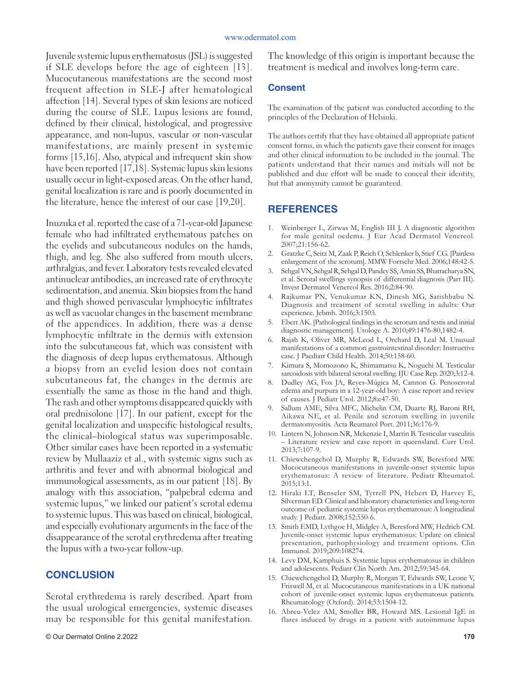#### www.odermatol.com

Juvenile systemic lupus erythematosus (JSL) is suggested if SLE develops before the age of eighteen [13]. Mucocutaneous manifestations are the second most frequent affection in SLE-J after hematological affection [14]. Several types of skin lesions are noticed during the course of SLE. Lupus lesions are found, defined by their clinical, histological, and progressive appearance, and non-lupus, vascular or non-vascular manifestations, are mainly present in systemic forms [15,16]. Also, atypical and infrequent skin show have been reported [17,18]. Systemic lupus skin lesions usually occur in light-exposed areas. On the other hand, genital localization is rare and is poorly documented in the literature, hence the interest of our case [19,20].

Inuzuka et al. reported the case of a 71-year-old Japanese female who had infiltrated erythematous patches on the eyelids and subcutaneous nodules on the hands, thigh, and leg. She also suffered from mouth ulcers, arthralgias, and fever. Laboratory tests revealed elevated antinuclear antibodies, an increased rate of erythrocyte sedimentation, and anemia. Skin biopsies from the hand and thigh showed perivascular lymphocytic infiltrates as well as vacuolar changes in the basement membrane of the appendices. In addition, there was a dense lymphocytic infiltrate in the dermis with extension into the subcutaneous fat, which was consistent with the diagnosis of deep lupus erythematosus. Although a biopsy from an eyelid lesion does not contain subcutaneous fat, the changes in the dermis are essentially the same as those in the hand and thigh. The rash and other symptoms disappeared quickly with oral prednisolone [17]. In our patient, except for the genital localization and unspecific histological results, the clinical–biological status was superimposable. Other similar cases have been reported in a systematic review by Mullaaziz et al., with systemic signs such as arthritis and fever and with abnormal biological and immunological assessments, as in our patient [18]. By analogy with this association, "palpebral edema and systemic lupus," we linked our patient's scrotal edema to systemic lupus. This was based on clinical, biological, and especially evolutionary arguments in the face of the disappearance of the scrotal erythredema after treating the lupus with a two-year follow-up.

## **CONCLUSION**

Scrotal erythredema is rarely described. Apart from the usual urological emergencies, systemic diseases may be responsible for this genital manifestation.

The knowledge of this origin is important because the treatment is medical and involves long-term care.

#### **Consent**

The examination of the patient was conducted according to the principles of the Declaration of Helsinki.

The authors certify that they have obtained all appropriate patient consent forms, in which the patients gave their consent for images and other clinical information to be included in the journal. The patients understand that their names and initials will not be published and due effort will be made to conceal their identity, but that anonymity cannot be guaranteed.

### **REFERENCES**

- 1. Weinberger L, Zirwas M, English III J. A diagnostic algorithm for male genital oedema. J Eur Acad Dermatol Venereol. 2007;21:156-62.
- 2. Gratzke C, Seitz M, Zaak P, Reich O, Schlenker b, Stief CG. [Painless enlargement of the scrotum]. MMW Fortschr Med. 2006;148:42-5.
- 3. Sehgal VN, Sehgal R, Sehgal D, Pandey SS, Amin SS, Bhattacharya SN, et al. Scrotal swellings synopsis of differential diagnosis (Part III). Invest Dermatol Venereol Res. 2016;2:84-90.
- 4. Rajkumar PN, Venukumar KN, Dinesh MG, Satishbabu N. Diagnosis and treatment of scrotal swelling in adults: Our experience. Jebmh. 2016;3:1503.
- 5. Ebert AK. [Pathological findings in the scrotum and testis and initial diagnostic management]. Urologe A. 2010;49:1476-80,1482-4.
- 6. Rajah K, Oliver MR, McLeod L, Orchard D, Leal M. Unusual manifestations of a common gastrointestinal disorder: Instructive case. J Paediatr Child Health. 2014;50:158-60.
- 7. Kimura S, Momozono K, Shimamatsu K, Noguchi M. Testicular sarcoidosis with bilateral scrotal swelling. IJU Case Rep. 2020;3:12-4.
- 8. Dudley AG, Fox JA, Reyes-Múgica M, Cannon G. Penoscrotal edema and purpura in a 12-year-old boy: A case report and review of causes. J Pediatr Urol. 2012;8:e47-50.
- 9. Sallum AME, Silva MFC, Michelin CM, Duarte RJ, Baroni RH, Aikawa NE, et al. Penile and scrotum swelling in juvenile dermatomyositis. Acta Reumatol Port. 2011;36:176-9.
- 10. Lintern N, Johnson NR, Mckenzie I, Martin B. Testicular vasculitis – Literature review and case report in queensland. Curr Urol. 2013;7:107-9.
- 11. Chiewchengchol D, Murphy R, Edwards SW, Beresford MW. Mucocutaneous manifestations in juvenile-onset systemic lupus erythematosus: A review of literature. Pediatr Rheumatol. 2015;13:1.
- 12. Hiraki LT, Benseler SM, Tyrrell PN, Hebert D, Harvey E, Silverman ED. Clinical and laboratory characteristics and long-term outcome of pediatric systemic lupus erythematosus: A longitudinal study. J Pediatr. 2008;152:550-6.
- 13. Smith EMD, Lythgoe H, Midgley A, Beresford MW, Hedrich CM. Juvenile-onset systemic lupus erythematosus: Update on clinical presentation, pathophysiology and treatment options. Clin Immunol. 2019;209:108274.
- 14. Levy DM, Kamphuis S. Systemic lupus erythematosus in children and adolescents. Pediatr Clin North Am. 2012;59:345-64.
- 15. Chiewchengchol D, Murphy R, Morgan T, Edwards SW, Leone V, Friswell M, et al. Mucocutaneous manifestations in a UK national cohort of juvenile-onset systemic lupus erythematosus patients. Rheumatology (Oxford). 2014;53:1504-12.
- 16. Abreu-Velez AM, Smoller BR, Howard MS. Lesional IgE in flares induced by drugs in a patient with autoimmune lupus